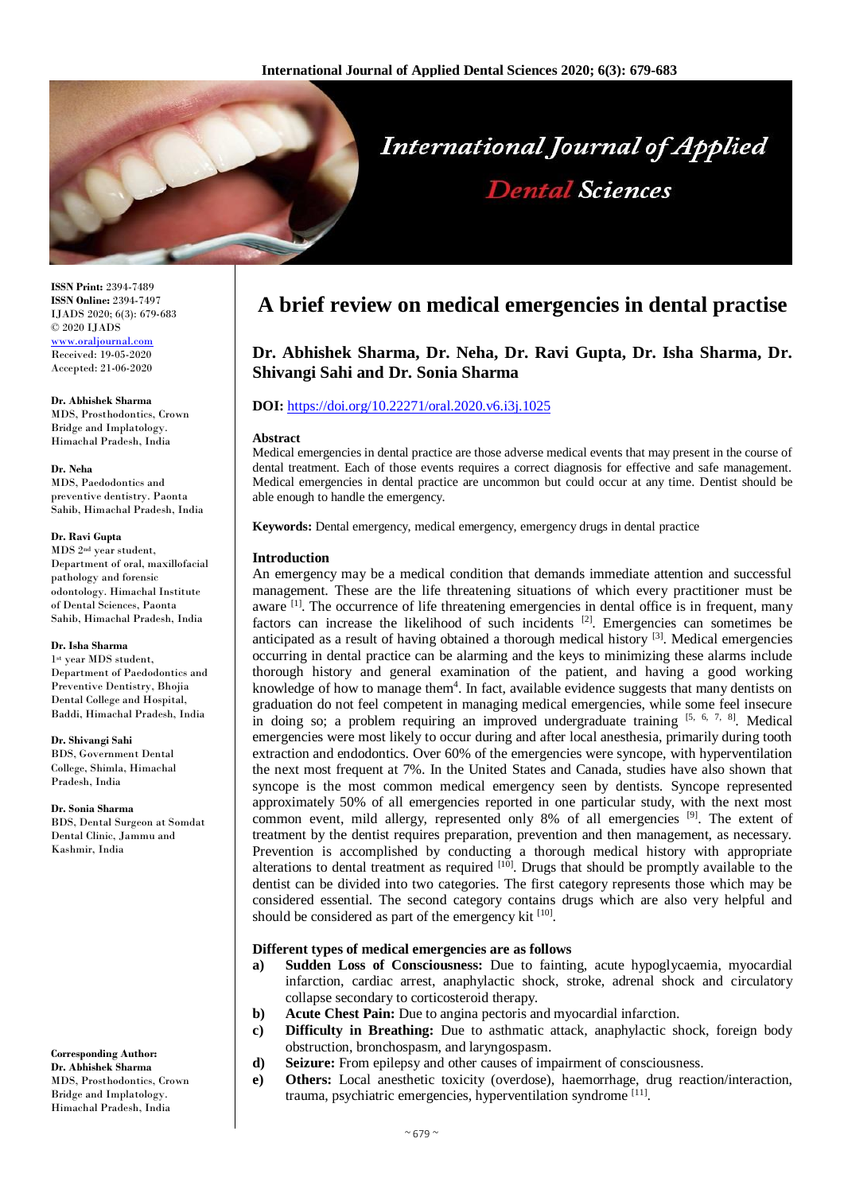

**ISSN Print:** 2394-7489 **ISSN Online:** 2394-7497 IJADS 2020; 6(3): 679-683 © 2020 IJADS [www.oraljournal.com](http://www.oraljournal.com/)  Received: 19-05-2020 Accepted: 21-06-2020

**Dr. Abhishek Sharma** MDS, Prosthodontics, Crown Bridge and Implatology. Himachal Pradesh, India

**Dr. Neha** MDS, Paedodontics and preventive dentistry. Paonta Sahib, Himachal Pradesh, India

#### **Dr. Ravi Gupta**

MDS 2nd year student, Department of oral, maxillofacial pathology and forensic odontology. Himachal Institute of Dental Sciences, Paonta Sahib, Himachal Pradesh, India

## **Dr. Isha Sharma**

1st year MDS student, Department of Paedodontics and Preventive Dentistry, Bhojia Dental College and Hospital, Baddi, Himachal Pradesh, India

**Dr. Shivangi Sahi** BDS, Government Dental College, Shimla, Himachal Pradesh, India

**Dr. Sonia Sharma** BDS, Dental Surgeon at Somdat Dental Clinic, Jammu and Kashmir, India

# **Corresponding Author:**

**Dr. Abhishek Sharma** MDS, Prosthodontics, Crown Bridge and Implatology. Himachal Pradesh, India

# **A brief review on medical emergencies in dental practise**

# **Dr. Abhishek Sharma, Dr. Neha, Dr. Ravi Gupta, Dr. Isha Sharma, Dr. Shivangi Sahi and Dr. Sonia Sharma**

# **DOI:** <https://doi.org/10.22271/oral.2020.v6.i3j.1025>

#### **Abstract**

Medical emergencies in dental practice are those adverse medical events that may present in the course of dental treatment. Each of those events requires a correct diagnosis for effective and safe management. Medical emergencies in dental practice are uncommon but could occur at any time. Dentist should be able enough to handle the emergency.

**Keywords:** Dental emergency, medical emergency, emergency drugs in dental practice

### **Introduction**

An emergency may be a medical condition that demands immediate attention and successful management. These are the life threatening situations of which every practitioner must be aware [1]. The occurrence of life threatening emergencies in dental office is in frequent, many factors can increase the likelihood of such incidents <sup>[2]</sup>. Emergencies can sometimes be anticipated as a result of having obtained a thorough medical history [3]. Medical emergencies occurring in dental practice can be alarming and the keys to minimizing these alarms include thorough history and general examination of the patient, and having a good working knowledge of how to manage them<sup>4</sup>. In fact, available evidence suggests that many dentists on graduation do not feel competent in managing medical emergencies, while some feel insecure in doing so; a problem requiring an improved undergraduate training  $[5, 6, 7, 8]$ . Medical emergencies were most likely to occur during and after local anesthesia, primarily during tooth extraction and endodontics. Over 60% of the emergencies were syncope, with hyperventilation the next most frequent at 7%. In the United States and Canada, studies have also shown that syncope is the most common medical emergency seen by dentists. Syncope represented approximately 50% of all emergencies reported in one particular study, with the next most common event, mild allergy, represented only  $8\%$  of all emergencies  $[9]$ . The extent of treatment by the dentist requires preparation, prevention and then management, as necessary. Prevention is accomplished by conducting a thorough medical history with appropriate alterations to dental treatment as required [10]. Drugs that should be promptly available to the dentist can be divided into two categories. The first category represents those which may be considered essential. The second category contains drugs which are also very helpful and should be considered as part of the emergency kit [10].

#### **Different types of medical emergencies are as follows**

- **a) Sudden Loss of Consciousness:** Due to fainting, acute hypoglycaemia, myocardial infarction, cardiac arrest, anaphylactic shock, stroke, adrenal shock and circulatory collapse secondary to corticosteroid therapy.
- **b) Acute Chest Pain:** Due to angina pectoris and myocardial infarction.
- **c) Difficulty in Breathing:** Due to asthmatic attack, anaphylactic shock, foreign body obstruction, bronchospasm, and laryngospasm.
- **d) Seizure:** From epilepsy and other causes of impairment of consciousness.
- **e) Others:** Local anesthetic toxicity (overdose), haemorrhage, drug reaction/interaction, trauma, psychiatric emergencies, hyperventilation syndrome [11].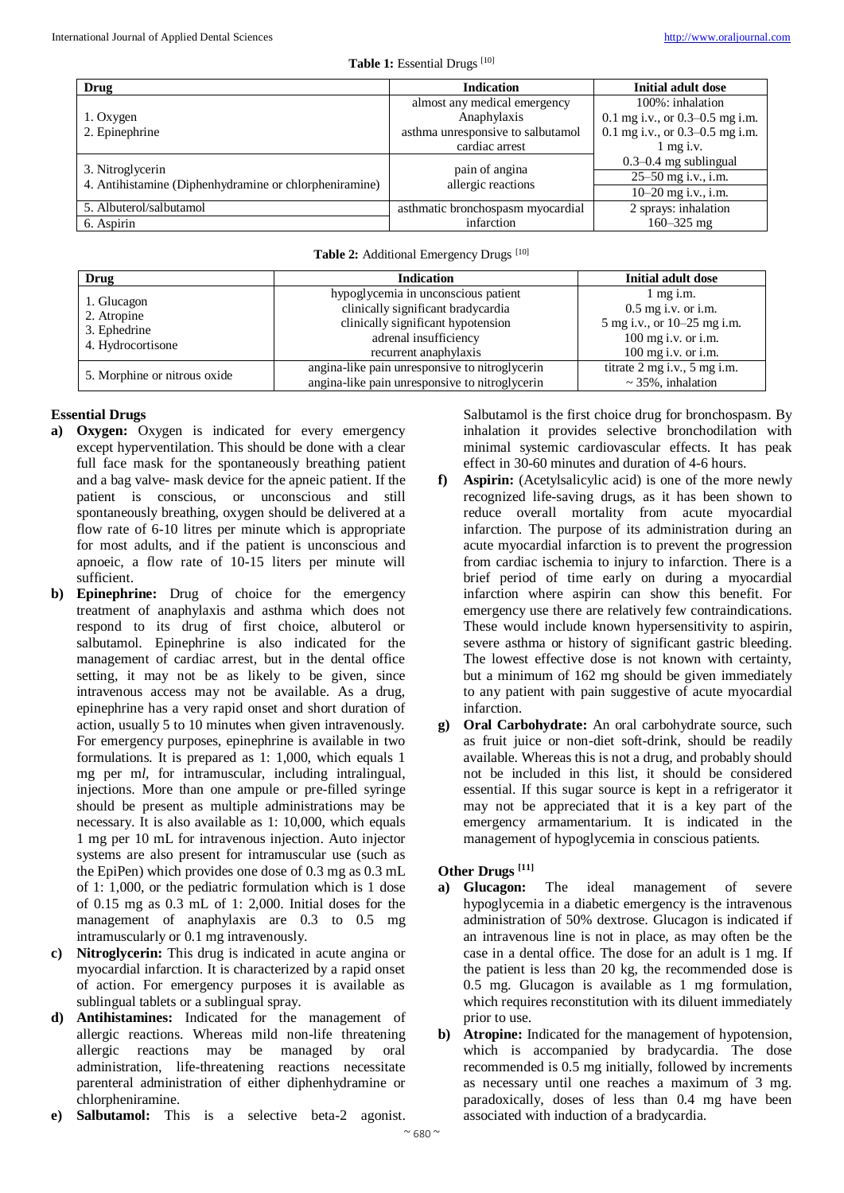| Drug                                                                       | <b>Indication</b>                    | <b>Initial adult dose</b>         |
|----------------------------------------------------------------------------|--------------------------------------|-----------------------------------|
| 1. Oxygen<br>2. Epinephrine                                                | almost any medical emergency         | 100%: inhalation                  |
|                                                                            | Anaphylaxis                          | 0.1 mg i.v., or $0.3-0.5$ mg i.m. |
|                                                                            | asthma unresponsive to salbutamol    | 0.1 mg i.v., or $0.3-0.5$ mg i.m. |
|                                                                            | cardiac arrest                       | $1$ mg i.v.                       |
| 3. Nitroglycerin<br>4. Antihistamine (Diphenhydramine or chlorpheniramine) | pain of angina<br>allergic reactions | $0.3 - 0.4$ mg sublingual         |
|                                                                            |                                      | 25–50 mg i.v., i.m.               |
|                                                                            |                                      | $10-20$ mg i.v., i.m.             |
| 5. Albuterol/salbutamol                                                    | asthmatic bronchospasm myocardial    | 2 sprays: inhalation              |
| 6. Aspirin                                                                 | infarction                           | $160 - 325$ mg                    |

# Table 2: Additional Emergency Drugs<sup>[10]</sup>

| Drug                                                            | <b>Indication</b>                                                                                                                                                 | Initial adult dose                                                                                                            |
|-----------------------------------------------------------------|-------------------------------------------------------------------------------------------------------------------------------------------------------------------|-------------------------------------------------------------------------------------------------------------------------------|
| 1. Glucagon<br>2. Atropine<br>3. Ephedrine<br>4. Hydrocortisone | hypoglycemia in unconscious patient<br>clinically significant bradycardia<br>clinically significant hypotension<br>adrenal insufficiency<br>recurrent anaphylaxis | $1 \text{ mg i.m.}$<br>$0.5$ mg i.v. or i.m.<br>5 mg i.v., or 10–25 mg i.m.<br>$100$ mg i.v. or i.m.<br>$100$ mg i.v. or i.m. |
| 5. Morphine or nitrous oxide                                    | angina-like pain unresponsive to nitroglycerin<br>angina-like pain unresponsive to nitroglycerin                                                                  | titrate 2 mg i.v., 5 mg i.m.<br>$\sim$ 35%, inhalation                                                                        |

# **Essential Drugs**

- **a) Oxygen:** Oxygen is indicated for every emergency except hyperventilation. This should be done with a clear full face mask for the spontaneously breathing patient and a bag valve- mask device for the apneic patient. If the patient is conscious, or unconscious and still spontaneously breathing, oxygen should be delivered at a flow rate of 6-10 litres per minute which is appropriate for most adults, and if the patient is unconscious and apnoeic, a flow rate of 10-15 liters per minute will sufficient.
- **b) Epinephrine:** Drug of choice for the emergency treatment of anaphylaxis and asthma which does not respond to its drug of first choice, albuterol or salbutamol. Epinephrine is also indicated for the management of cardiac arrest, but in the dental office setting, it may not be as likely to be given, since intravenous access may not be available. As a drug, epinephrine has a very rapid onset and short duration of action, usually 5 to 10 minutes when given intravenously. For emergency purposes, epinephrine is available in two formulations. It is prepared as 1: 1,000, which equals 1 mg per m*l,* for intramuscular, including intralingual, injections. More than one ampule or pre-filled syringe should be present as multiple administrations may be necessary. It is also available as 1: 10,000, which equals 1 mg per 10 mL for intravenous injection. Auto injector systems are also present for intramuscular use (such as the EpiPen) which provides one dose of 0.3 mg as 0.3 mL of 1: 1,000, or the pediatric formulation which is 1 dose of 0.15 mg as 0.3 mL of 1: 2,000. Initial doses for the management of anaphylaxis are 0.3 to 0.5 mg intramuscularly or 0.1 mg intravenously.
- **c) Nitroglycerin:** This drug is indicated in acute angina or myocardial infarction. It is characterized by a rapid onset of action. For emergency purposes it is available as sublingual tablets or a sublingual spray.
- **d) Antihistamines:** Indicated for the management of allergic reactions. Whereas mild non-life threatening allergic reactions may be managed by oral administration, life-threatening reactions necessitate parenteral administration of either diphenhydramine or chlorpheniramine.
- **e) Salbutamol:** This is a selective beta-2 agonist.

Salbutamol is the first choice drug for bronchospasm. By inhalation it provides selective bronchodilation with minimal systemic cardiovascular effects. It has peak effect in 30-60 minutes and duration of 4-6 hours.

- **f) Aspirin:** (Acetylsalicylic acid) is one of the more newly recognized life-saving drugs, as it has been shown to reduce overall mortality from acute myocardial infarction. The purpose of its administration during an acute myocardial infarction is to prevent the progression from cardiac ischemia to injury to infarction. There is a brief period of time early on during a myocardial infarction where aspirin can show this benefit. For emergency use there are relatively few contraindications. These would include known hypersensitivity to aspirin, severe asthma or history of significant gastric bleeding. The lowest effective dose is not known with certainty, but a minimum of 162 mg should be given immediately to any patient with pain suggestive of acute myocardial infarction.
- **g) Oral Carbohydrate:** An oral carbohydrate source, such as fruit juice or non-diet soft-drink, should be readily available. Whereas this is not a drug, and probably should not be included in this list, it should be considered essential. If this sugar source is kept in a refrigerator it may not be appreciated that it is a key part of the emergency armamentarium. It is indicated in the management of hypoglycemia in conscious patients.

# **Other Drugs [11]**

- **a) Glucagon:** The ideal management of severe hypoglycemia in a diabetic emergency is the intravenous administration of 50% dextrose. Glucagon is indicated if an intravenous line is not in place, as may often be the case in a dental office. The dose for an adult is 1 mg. If the patient is less than 20 kg, the recommended dose is 0.5 mg. Glucagon is available as 1 mg formulation, which requires reconstitution with its diluent immediately prior to use.
- **b) Atropine:** Indicated for the management of hypotension, which is accompanied by bradycardia. The dose recommended is 0.5 mg initially, followed by increments as necessary until one reaches a maximum of 3 mg. paradoxically, doses of less than 0.4 mg have been associated with induction of a bradycardia.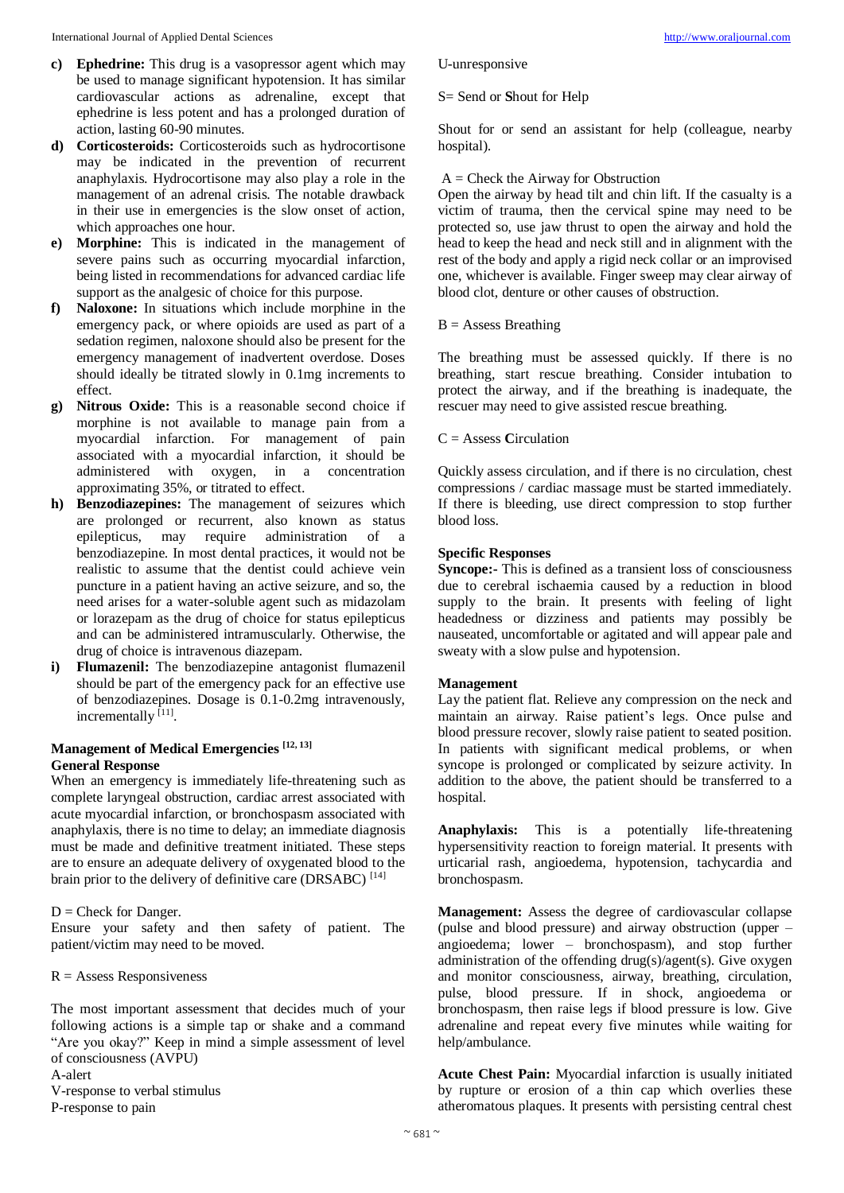- **c) Ephedrine:** This drug is a vasopressor agent which may be used to manage significant hypotension. It has similar cardiovascular actions as adrenaline, except that ephedrine is less potent and has a prolonged duration of action, lasting 60-90 minutes.
- **d) Corticosteroids:** Corticosteroids such as hydrocortisone may be indicated in the prevention of recurrent anaphylaxis. Hydrocortisone may also play a role in the management of an adrenal crisis. The notable drawback in their use in emergencies is the slow onset of action, which approaches one hour.
- **e) Morphine:** This is indicated in the management of severe pains such as occurring myocardial infarction, being listed in recommendations for advanced cardiac life support as the analgesic of choice for this purpose.
- **f) Naloxone:** In situations which include morphine in the emergency pack, or where opioids are used as part of a sedation regimen, naloxone should also be present for the emergency management of inadvertent overdose. Doses should ideally be titrated slowly in 0.1mg increments to effect.
- **g) Nitrous Oxide:** This is a reasonable second choice if morphine is not available to manage pain from a myocardial infarction. For management of pain associated with a myocardial infarction, it should be administered with oxygen, in a concentration approximating 35%, or titrated to effect.
- **h) Benzodiazepines:** The management of seizures which are prolonged or recurrent, also known as status epilepticus, may require administration of a benzodiazepine. In most dental practices, it would not be realistic to assume that the dentist could achieve vein puncture in a patient having an active seizure, and so, the need arises for a water-soluble agent such as midazolam or lorazepam as the drug of choice for status epilepticus and can be administered intramuscularly. Otherwise, the drug of choice is intravenous diazepam.
- **i) Flumazenil:** The benzodiazepine antagonist flumazenil should be part of the emergency pack for an effective use of benzodiazepines. Dosage is 0.1-0.2mg intravenously, incrementally [11].

# **Management of Medical Emergencies [12, 13] General Response**

When an emergency is immediately life-threatening such as complete laryngeal obstruction, cardiac arrest associated with acute myocardial infarction, or bronchospasm associated with anaphylaxis, there is no time to delay; an immediate diagnosis must be made and definitive treatment initiated. These steps are to ensure an adequate delivery of oxygenated blood to the brain prior to the delivery of definitive care (DRSABC) [14]

## $D =$ Check for Danger.

Ensure your safety and then safety of patient. The patient/victim may need to be moved.

 $R =$  Assess Responsiveness

The most important assessment that decides much of your following actions is a simple tap or shake and a command "Are you okay?" Keep in mind a simple assessment of level of consciousness (AVPU)

A-alert

V-response to verbal stimulus P-response to pain

#### U-unresponsive

### S= Send or **S**hout for Help

Shout for or send an assistant for help (colleague, nearby hospital).

#### $A =$  Check the Airway for Obstruction

Open the airway by head tilt and chin lift. If the casualty is a victim of trauma, then the cervical spine may need to be protected so, use jaw thrust to open the airway and hold the head to keep the head and neck still and in alignment with the rest of the body and apply a rigid neck collar or an improvised one, whichever is available. Finger sweep may clear airway of blood clot, denture or other causes of obstruction.

### $B =$  Assess Breathing

The breathing must be assessed quickly. If there is no breathing, start rescue breathing. Consider intubation to protect the airway, and if the breathing is inadequate, the rescuer may need to give assisted rescue breathing.

### C = Assess **C**irculation

Quickly assess circulation, and if there is no circulation, chest compressions / cardiac massage must be started immediately. If there is bleeding, use direct compression to stop further blood loss.

# **Specific Responses**

**Syncope:-** This is defined as a transient loss of consciousness due to cerebral ischaemia caused by a reduction in blood supply to the brain. It presents with feeling of light headedness or dizziness and patients may possibly be nauseated, uncomfortable or agitated and will appear pale and sweaty with a slow pulse and hypotension.

#### **Management**

Lay the patient flat. Relieve any compression on the neck and maintain an airway. Raise patient's legs. Once pulse and blood pressure recover, slowly raise patient to seated position. In patients with significant medical problems, or when syncope is prolonged or complicated by seizure activity. In addition to the above, the patient should be transferred to a hospital.

**Anaphylaxis:** This is a potentially life-threatening hypersensitivity reaction to foreign material. It presents with urticarial rash, angioedema, hypotension, tachycardia and bronchospasm.

**Management:** Assess the degree of cardiovascular collapse (pulse and blood pressure) and airway obstruction (upper – angioedema; lower – bronchospasm), and stop further administration of the offending drug(s)/agent(s). Give oxygen and monitor consciousness, airway, breathing, circulation, pulse, blood pressure. If in shock, angioedema or bronchospasm, then raise legs if blood pressure is low. Give adrenaline and repeat every five minutes while waiting for help/ambulance.

**Acute Chest Pain:** Myocardial infarction is usually initiated by rupture or erosion of a thin cap which overlies these atheromatous plaques. It presents with persisting central chest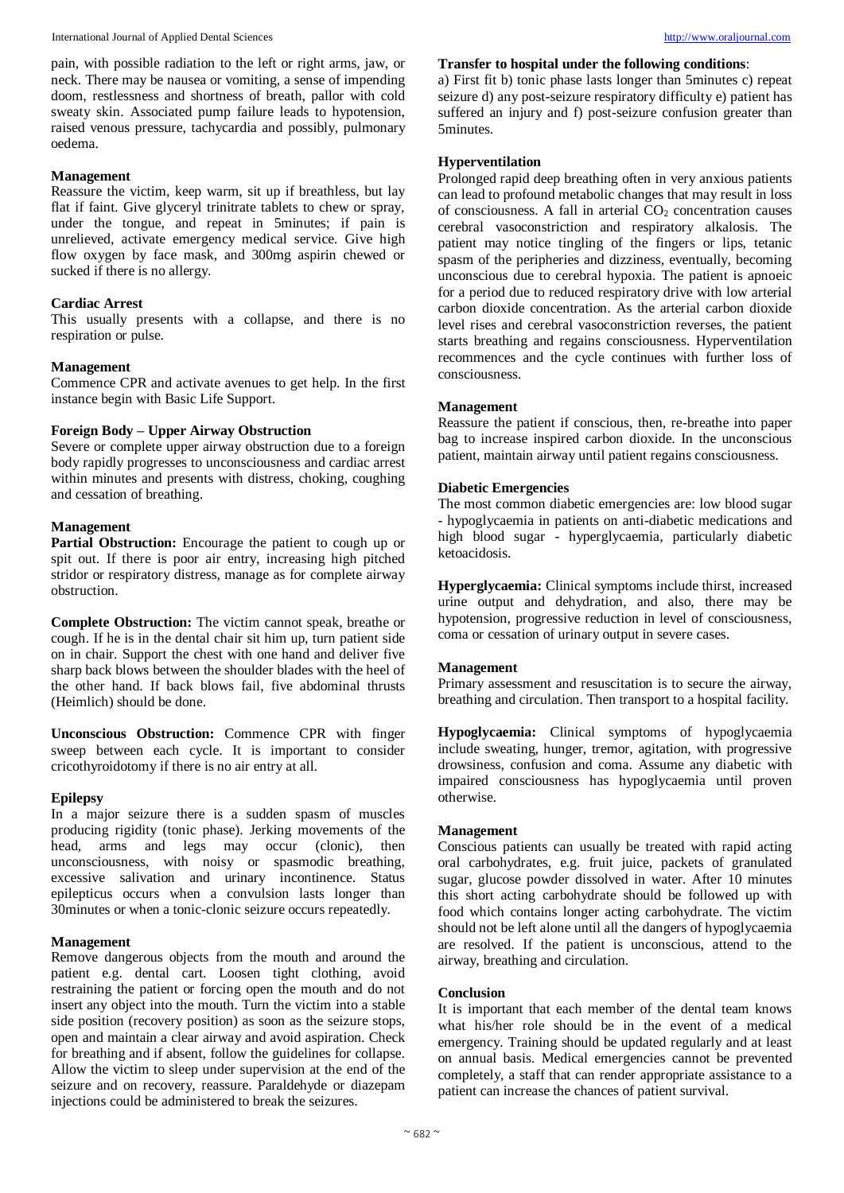International Journal of Applied Dental Sciences [http://www.oraljournal.com](http://www.oraljournal.com/)

pain, with possible radiation to the left or right arms, jaw, or neck. There may be nausea or vomiting, a sense of impending doom, restlessness and shortness of breath, pallor with cold sweaty skin. Associated pump failure leads to hypotension, raised venous pressure, tachycardia and possibly, pulmonary oedema.

# **Management**

Reassure the victim, keep warm, sit up if breathless, but lay flat if faint. Give glyceryl trinitrate tablets to chew or spray, under the tongue, and repeat in 5minutes; if pain is unrelieved, activate emergency medical service. Give high flow oxygen by face mask, and 300mg aspirin chewed or sucked if there is no allergy.

# **Cardiac Arrest**

This usually presents with a collapse, and there is no respiration or pulse.

# **Management**

Commence CPR and activate avenues to get help. In the first instance begin with Basic Life Support.

# **Foreign Body – Upper Airway Obstruction**

Severe or complete upper airway obstruction due to a foreign body rapidly progresses to unconsciousness and cardiac arrest within minutes and presents with distress, choking, coughing and cessation of breathing.

# **Management**

Partial Obstruction: Encourage the patient to cough up or spit out. If there is poor air entry, increasing high pitched stridor or respiratory distress, manage as for complete airway obstruction.

**Complete Obstruction:** The victim cannot speak, breathe or cough. If he is in the dental chair sit him up, turn patient side on in chair. Support the chest with one hand and deliver five sharp back blows between the shoulder blades with the heel of the other hand. If back blows fail, five abdominal thrusts (Heimlich) should be done.

**Unconscious Obstruction:** Commence CPR with finger sweep between each cycle. It is important to consider cricothyroidotomy if there is no air entry at all.

## **Epilepsy**

In a major seizure there is a sudden spasm of muscles producing rigidity (tonic phase). Jerking movements of the head, arms and legs may occur (clonic), then unconsciousness, with noisy or spasmodic breathing, excessive salivation and urinary incontinence. Status epilepticus occurs when a convulsion lasts longer than 30minutes or when a tonic-clonic seizure occurs repeatedly.

## **Management**

Remove dangerous objects from the mouth and around the patient e.g. dental cart. Loosen tight clothing, avoid restraining the patient or forcing open the mouth and do not insert any object into the mouth. Turn the victim into a stable side position (recovery position) as soon as the seizure stops, open and maintain a clear airway and avoid aspiration. Check for breathing and if absent, follow the guidelines for collapse. Allow the victim to sleep under supervision at the end of the seizure and on recovery, reassure. Paraldehyde or diazepam injections could be administered to break the seizures.

# **Transfer to hospital under the following conditions**:

a) First fit b) tonic phase lasts longer than 5minutes c) repeat seizure d) any post-seizure respiratory difficulty e) patient has suffered an injury and f) post-seizure confusion greater than 5minutes.

# **Hyperventilation**

Prolonged rapid deep breathing often in very anxious patients can lead to profound metabolic changes that may result in loss of consciousness. A fall in arterial  $CO<sub>2</sub>$  concentration causes cerebral vasoconstriction and respiratory alkalosis. The patient may notice tingling of the fingers or lips, tetanic spasm of the peripheries and dizziness, eventually, becoming unconscious due to cerebral hypoxia. The patient is apnoeic for a period due to reduced respiratory drive with low arterial carbon dioxide concentration. As the arterial carbon dioxide level rises and cerebral vasoconstriction reverses, the patient starts breathing and regains consciousness. Hyperventilation recommences and the cycle continues with further loss of consciousness.

# **Management**

Reassure the patient if conscious, then, re-breathe into paper bag to increase inspired carbon dioxide. In the unconscious patient, maintain airway until patient regains consciousness.

# **Diabetic Emergencies**

The most common diabetic emergencies are: low blood sugar - hypoglycaemia in patients on anti-diabetic medications and high blood sugar - hyperglycaemia, particularly diabetic ketoacidosis.

**Hyperglycaemia:** Clinical symptoms include thirst, increased urine output and dehydration, and also, there may be hypotension, progressive reduction in level of consciousness, coma or cessation of urinary output in severe cases.

## **Management**

Primary assessment and resuscitation is to secure the airway, breathing and circulation. Then transport to a hospital facility.

**Hypoglycaemia:** Clinical symptoms of hypoglycaemia include sweating, hunger, tremor, agitation, with progressive drowsiness, confusion and coma. Assume any diabetic with impaired consciousness has hypoglycaemia until proven otherwise.

# **Management**

Conscious patients can usually be treated with rapid acting oral carbohydrates, e.g. fruit juice, packets of granulated sugar, glucose powder dissolved in water. After 10 minutes this short acting carbohydrate should be followed up with food which contains longer acting carbohydrate. The victim should not be left alone until all the dangers of hypoglycaemia are resolved. If the patient is unconscious, attend to the airway, breathing and circulation.

## **Conclusion**

It is important that each member of the dental team knows what his/her role should be in the event of a medical emergency. Training should be updated regularly and at least on annual basis. Medical emergencies cannot be prevented completely, a staff that can render appropriate assistance to a patient can increase the chances of patient survival.